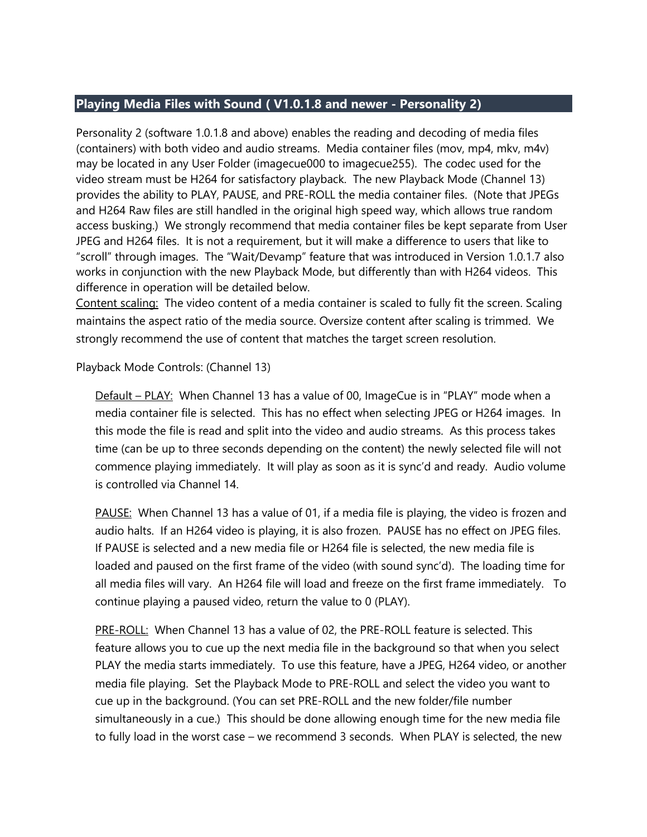## **Playing Media Files with Sound ( V1.0.1.8 and newer - Personality 2)**

Personality 2 (software 1.0.1.8 and above) enables the reading and decoding of media files (containers) with both video and audio streams. Media container files (mov, mp4, mkv, m4v) may be located in any User Folder (imagecue000 to imagecue255). The codec used for the video stream must be H264 for satisfactory playback. The new Playback Mode (Channel 13) provides the ability to PLAY, PAUSE, and PRE-ROLL the media container files. (Note that JPEGs and H264 Raw files are still handled in the original high speed way, which allows true random access busking.) We strongly recommend that media container files be kept separate from User JPEG and H264 files. It is not a requirement, but it will make a difference to users that like to "scroll" through images. The "Wait/Devamp" feature that was introduced in Version 1.0.1.7 also works in conjunction with the new Playback Mode, but differently than with H264 videos. This difference in operation will be detailed below.

Content scaling: The video content of a media container is scaled to fully fit the screen. Scaling maintains the aspect ratio of the media source. Oversize content after scaling is trimmed. We strongly recommend the use of content that matches the target screen resolution.

Playback Mode Controls: (Channel 13)

Default – PLAY: When Channel 13 has a value of 00, ImageCue is in "PLAY" mode when a media container file is selected. This has no effect when selecting JPEG or H264 images. In this mode the file is read and split into the video and audio streams. As this process takes time (can be up to three seconds depending on the content) the newly selected file will not commence playing immediately. It will play as soon as it is sync'd and ready. Audio volume is controlled via Channel 14.

PAUSE: When Channel 13 has a value of 01, if a media file is playing, the video is frozen and audio halts. If an H264 video is playing, it is also frozen. PAUSE has no effect on JPEG files. If PAUSE is selected and a new media file or H264 file is selected, the new media file is loaded and paused on the first frame of the video (with sound sync'd). The loading time for all media files will vary. An H264 file will load and freeze on the first frame immediately. To continue playing a paused video, return the value to 0 (PLAY).

PRE-ROLL: When Channel 13 has a value of 02, the PRE-ROLL feature is selected. This feature allows you to cue up the next media file in the background so that when you select PLAY the media starts immediately. To use this feature, have a JPEG, H264 video, or another media file playing. Set the Playback Mode to PRE-ROLL and select the video you want to cue up in the background. (You can set PRE-ROLL and the new folder/file number simultaneously in a cue.) This should be done allowing enough time for the new media file to fully load in the worst case – we recommend 3 seconds. When PLAY is selected, the new